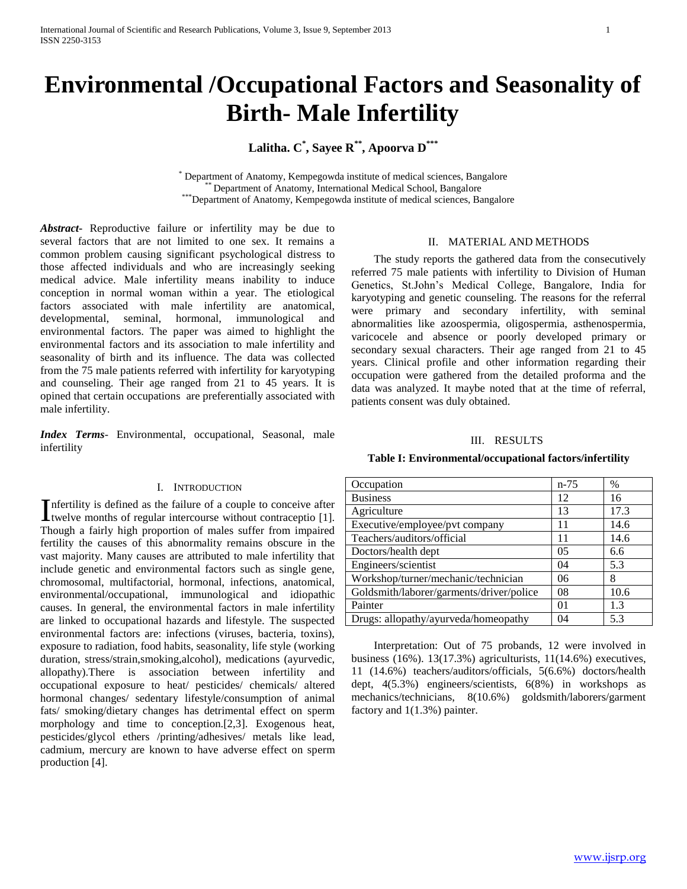# **Environmental /Occupational Factors and Seasonality of Birth- Male Infertility**

**Lalitha. C\* , Sayee R\*\*, Apoorva D\*\*\***

\* Department of Anatomy, Kempegowda institute of medical sciences, Bangalore Department of Anatomy, International Medical School, Bangalore \*\*\*Department of Anatomy, Kempegowda institute of medical sciences, Bangalore

*Abstract***-** Reproductive failure or infertility may be due to several factors that are not limited to one sex. It remains a common problem causing significant psychological distress to those affected individuals and who are increasingly seeking medical advice. Male infertility means inability to induce conception in normal woman within a year. The etiological factors associated with male infertility are anatomical, developmental, seminal, hormonal, immunological and environmental factors. The paper was aimed to highlight the environmental factors and its association to male infertility and seasonality of birth and its influence. The data was collected from the 75 male patients referred with infertility for karyotyping and counseling. Their age ranged from 21 to 45 years. It is opined that certain occupations are preferentially associated with male infertility.

*Index Terms*- Environmental, occupational, Seasonal, male infertility

# I. INTRODUCTION

nfertility is defined as the failure of a couple to conceive after Infertility is defined as the failure of a couple to conceive after<br>twelve months of regular intercourse without contraceptio [1]. Though a fairly high proportion of males suffer from impaired fertility the causes of this abnormality remains obscure in the vast majority. Many causes are attributed to male infertility that include genetic and environmental factors such as single gene, chromosomal, multifactorial, hormonal, infections, anatomical, environmental/occupational, immunological and idiopathic causes. In general, the environmental factors in male infertility are linked to occupational hazards and lifestyle. The suspected environmental factors are: infections (viruses, bacteria, toxins), exposure to radiation, food habits, seasonality, life style (working duration, stress/strain,smoking,alcohol), medications (ayurvedic, allopathy).There is association between infertility and occupational exposure to heat/ pesticides/ chemicals/ altered hormonal changes/ sedentary lifestyle/consumption of animal fats/ smoking/dietary changes has detrimental effect on sperm morphology and time to conception.[2,3]. Exogenous heat, pesticides/glycol ethers /printing/adhesives/ metals like lead, cadmium, mercury are known to have adverse effect on sperm production [4].

# II. MATERIAL AND METHODS

 The study reports the gathered data from the consecutively referred 75 male patients with infertility to Division of Human Genetics, St.John's Medical College, Bangalore, India for karyotyping and genetic counseling. The reasons for the referral were primary and secondary infertility, with seminal abnormalities like azoospermia, oligospermia, asthenospermia, varicocele and absence or poorly developed primary or secondary sexual characters. Their age ranged from 21 to 45 years. Clinical profile and other information regarding their occupation were gathered from the detailed proforma and the data was analyzed. It maybe noted that at the time of referral, patients consent was duly obtained.

## III. RESULTS

| Table I: Environmental/occupational factors/infertility |
|---------------------------------------------------------|
|                                                         |

| Occupation                               | $n - 75$ | $\%$ |
|------------------------------------------|----------|------|
| <b>Business</b>                          | 12       | 16   |
| Agriculture                              | 13       | 17.3 |
| Executive/employee/pvt company           | 11       | 14.6 |
| Teachers/auditors/official               | 11       | 14.6 |
| Doctors/health dept                      | 05       | 6.6  |
| Engineers/scientist                      | 04       | 5.3  |
| Workshop/turner/mechanic/technician      | 06       | 8    |
| Goldsmith/laborer/garments/driver/police | 08       | 10.6 |
| Painter                                  | $_{01}$  | 1.3  |
| Drugs: allopathy/ayurveda/homeopathy     | 04       | 5.3  |

 Interpretation: Out of 75 probands, 12 were involved in business (16%). 13(17.3%) agriculturists, 11(14.6%) executives, 11 (14.6%) teachers/auditors/officials, 5(6.6%) doctors/health dept, 4(5.3%) engineers/scientists, 6(8%) in workshops as mechanics/technicians, 8(10.6%) goldsmith/laborers/garment factory and 1(1.3%) painter.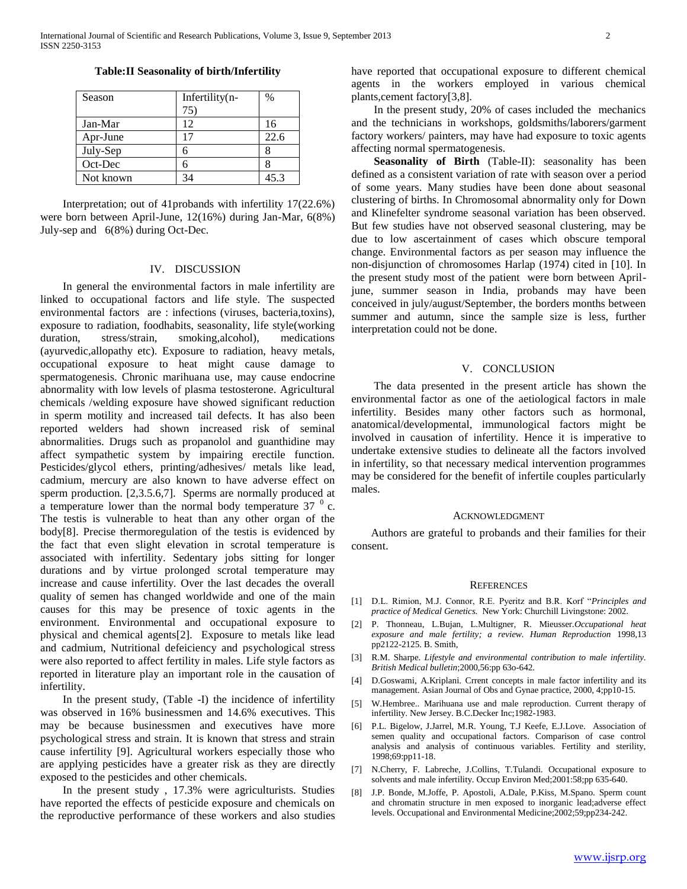| Season    | Infertility(n- | $\%$ |
|-----------|----------------|------|
|           | 75`            |      |
| Jan-Mar   | 12             | 16   |
| Apr-June  |                | 22.6 |
| July-Sep  | 6              |      |
| Oct-Dec   | 6              |      |
| Not known | 34             | 45.3 |

 Interpretation; out of 41probands with infertility 17(22.6%) were born between April-June, 12(16%) during Jan-Mar, 6(8%) July-sep and 6(8%) during Oct-Dec.

#### IV. DISCUSSION

 In general the environmental factors in male infertility are linked to occupational factors and life style. The suspected environmental factors are : infections (viruses, bacteria,toxins), exposure to radiation, foodhabits, seasonality, life style(working duration, stress/strain, smoking,alcohol), medications (ayurvedic,allopathy etc). Exposure to radiation, heavy metals, occupational exposure to heat might cause damage to spermatogenesis. Chronic marihuana use, may cause endocrine abnormality with low levels of plasma testosterone. Agricultural chemicals /welding exposure have showed significant reduction in sperm motility and increased tail defects. It has also been reported welders had shown increased risk of seminal abnormalities. Drugs such as propanolol and guanthidine may affect sympathetic system by impairing erectile function. Pesticides/glycol ethers, printing/adhesives/ metals like lead, cadmium, mercury are also known to have adverse effect on sperm production. [2,3.5.6,7]. Sperms are normally produced at a temperature lower than the normal body temperature  $37<sup>0</sup>$  c. The testis is vulnerable to heat than any other organ of the body[8]. Precise thermoregulation of the testis is evidenced by the fact that even slight elevation in scrotal temperature is associated with infertility. Sedentary jobs sitting for longer durations and by virtue prolonged scrotal temperature may increase and cause infertility. Over the last decades the overall quality of semen has changed worldwide and one of the main causes for this may be presence of toxic agents in the environment. Environmental and occupational exposure to physical and chemical agents[2]. Exposure to metals like lead and cadmium, Nutritional defeiciency and psychological stress were also reported to affect fertility in males. Life style factors as reported in literature play an important role in the causation of infertility.

 In the present study, (Table -I) the incidence of infertility was observed in 16% businessmen and 14.6% executives. This may be because businessmen and executives have more psychological stress and strain. It is known that stress and strain cause infertility [9]. Agricultural workers especially those who are applying pesticides have a greater risk as they are directly exposed to the pesticides and other chemicals.

 In the present study , 17.3% were agriculturists. Studies have reported the effects of pesticide exposure and chemicals on the reproductive performance of these workers and also studies have reported that occupational exposure to different chemical agents in the workers employed in various chemical plants,cement factory[3,8].

 In the present study, 20% of cases included the mechanics and the technicians in workshops, goldsmiths/laborers/garment factory workers/ painters, may have had exposure to toxic agents affecting normal spermatogenesis.

 **Seasonality of Birth** (Table-II): seasonality has been defined as a consistent variation of rate with season over a period of some years. Many studies have been done about seasonal clustering of births. In Chromosomal abnormality only for Down and Klinefelter syndrome seasonal variation has been observed. But few studies have not observed seasonal clustering, may be due to low ascertainment of cases which obscure temporal change. Environmental factors as per season may influence the non-disjunction of chromosomes Harlap (1974) cited in [10]. In the present study most of the patient were born between Apriljune, summer season in India, probands may have been conceived in july/august/September, the borders months between summer and autumn, since the sample size is less, further interpretation could not be done.

## V. CONCLUSION

 The data presented in the present article has shown the environmental factor as one of the aetiological factors in male infertility. Besides many other factors such as hormonal, anatomical/developmental, immunological factors might be involved in causation of infertility. Hence it is imperative to undertake extensive studies to delineate all the factors involved in infertility, so that necessary medical intervention programmes may be considered for the benefit of infertile couples particularly males.

#### ACKNOWLEDGMENT

 Authors are grateful to probands and their families for their consent.

#### **REFERENCES**

- [1] D.L. Rimion, M.J. Connor, R.E. Pyeritz and B.R. Korf "*Principles and practice of Medical Genetics.* New York: Churchill Livingstone: 2002.
- [2] P. Thonneau, L.Bujan, L.Multigner, R. Mieusser.*Occupational heat exposure and male fertility; a review. Human Reproduction* 1998,13 pp2122-2125. B. Smith,
- [3] R.M. Sharpe. *Lifestyle and environmental contribution to male infertility*. *British Medical bulletin*;2000,56:pp 63o-642.
- [4] D.Goswami, A.Kriplani. Crrent concepts in male factor infertility and its management. Asian Journal of Obs and Gynae practice, 2000, 4;pp10-15.
- [5] W.Hembree.. Marihuana use and male reproduction. Current therapy of infertility. New Jersey. B.C.Decker Inc;1982-1983.
- [6] P.L. Bigelow, J.Jarrel, M.R. Young, T.J Keefe, E.J.Love. Association of semen quality and occupational factors. Comparison of case control analysis and analysis of continuous variables. Fertility and sterility, 1998;69:pp11-18.
- [7] N.Cherry, F. Labreche, J.Collins, T.Tulandi. Occupational exposure to solvents and male infertility. Occup Environ Med;2001:58;pp 635-640.
- [8] J.P. Bonde, M.Joffe, P. Apostoli, A.Dale, P.Kiss, M.Spano. Sperm count and chromatin structure in men exposed to inorganic lead;adverse effect levels. Occupational and Environmental Medicine;2002;59;pp234-242.